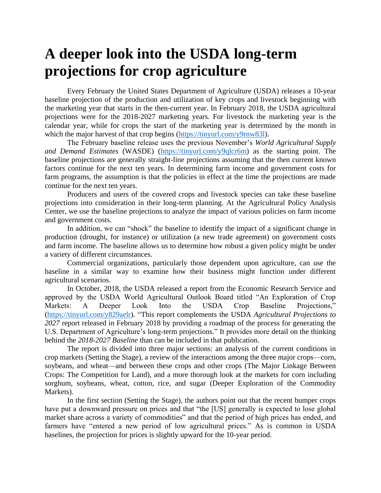## **A deeper look into the USDA long-term projections for crop agriculture**

Every February the United States Department of Agriculture (USDA) releases a 10-year baseline projection of the production and utilization of key crops and livestock beginning with the marketing year that starts in the then-current year. In February 2018, the USDA agricultural projections were for the 2018-2027 marketing years. For livestock the marketing year is the calendar year, while for crops the start of the marketing year is determined by the month in which the major harvest of that crop begins (https://tinyurl.com/y9rnw831).

The February baseline release uses the previous November's *World Agricultural Supply and Demand Estimates* (WASDE) [\(https://tinyurl.com/y9qlcr6m\)](https://tinyurl.com/y9qlcr6m) as the starting point. The baseline projections are generally straight-line projections assuming that the then current known factors continue for the next ten years. In determining farm income and government costs for farm programs, the assumption is that the policies in effect at the time the projections are made continue for the next ten years.

Producers and users of the covered crops and livestock species can take these baseline projections into consideration in their long-term planning. At the Agricultural Policy Analysis Center, we use the baseline projections to analyze the impact of various policies on farm income and government costs.

In addition, we can "shock" the baseline to identify the impact of a significant change in production (drought, for instance) or utilization (a new trade agreement) on government costs and farm income. The baseline allows us to determine how robust a given policy might be under a variety of different circumstances.

Commercial organizations, particularly those dependent upon agriculture, can use the baseline in a similar way to examine how their business might function under different agricultural scenarios.

In October, 2018, the USDA released a report from the Economic Research Service and approved by the USDA World Agricultural Outlook Board titled "An Exploration of Crop Markets: A Deeper Look Into the USDA Crop Baseline Projections," [\(https://tinyurl.com/y829aelr\)](https://tinyurl.com/y829aelr). "This report complements the USDA *Agricultural Projections to 2027* report released in February 2018 by providing a roadmap of the process for generating the U.S. Department of Agriculture's long-term projections." It provides more detail on the thinking behind the *2018-2027 Baseline* than can be included in that publication.

The report is divided into three major sections: an analysis of the current conditions in crop markets (Setting the Stage), a review of the interactions among the three major crops—corn, soybeans, and wheat—and between these crops and other crops (The Major Linkage Between Crops: The Competition for Land), and a more thorough look at the markets for corn including sorghum, soybeans, wheat, cotton, rice, and sugar (Deeper Exploration of the Commodity Markets).

In the first section (Setting the Stage), the authors point out that the recent bumper crops have put a downward pressure on prices and that "the [US] generally is expected to lose global market share across a variety of commodities" and that the period of high prices has ended, and farmers have "entered a new period of low agricultural prices." As is common in USDA baselines, the projection for prices is slightly upward for the 10-year period.